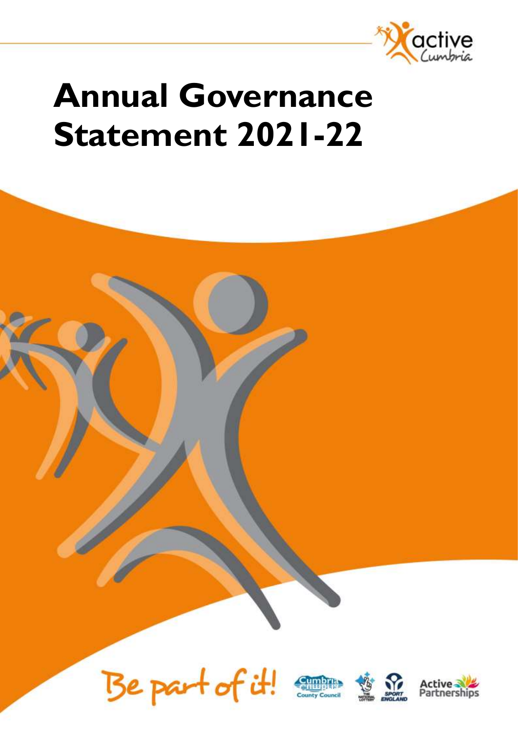

# **Annual Governance Statement 2021-22**







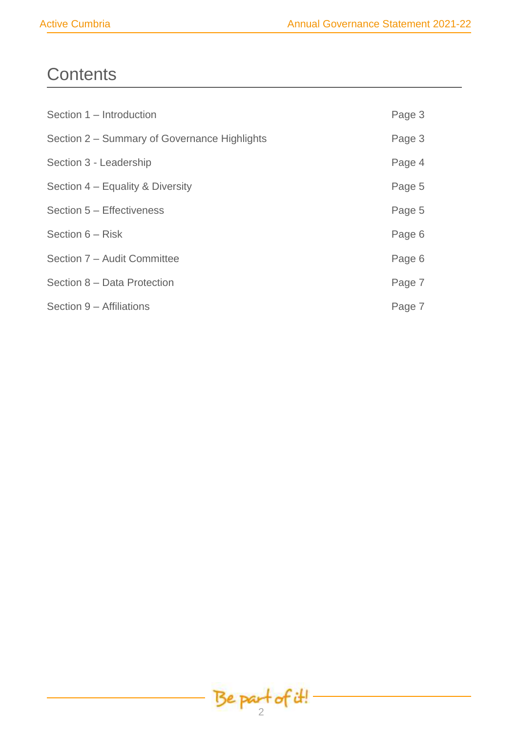# **Contents**

| Section 1 - Introduction                     | Page 3 |
|----------------------------------------------|--------|
| Section 2 – Summary of Governance Highlights | Page 3 |
| Section 3 - Leadership                       | Page 4 |
| Section 4 – Equality & Diversity             | Page 5 |
| Section 5 - Effectiveness                    | Page 5 |
| Section 6 – Risk                             | Page 6 |
| Section 7 - Audit Committee                  | Page 6 |
| Section 8 - Data Protection                  | Page 7 |
| Section 9 - Affiliations                     | Page 7 |

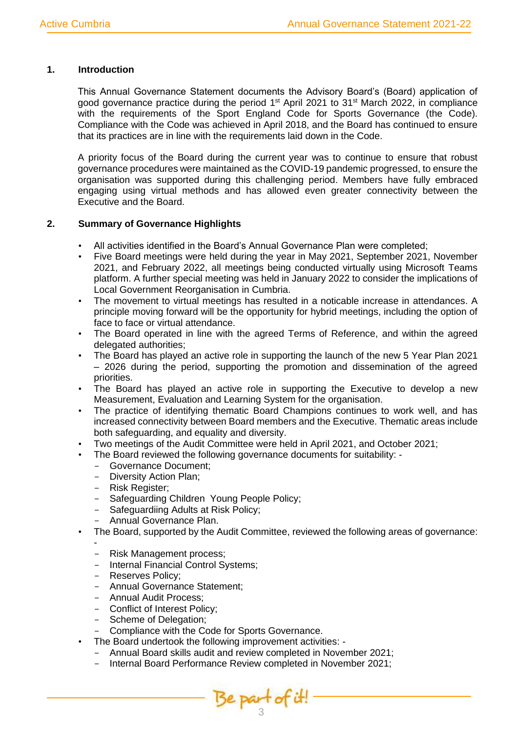# **1. Introduction**

This Annual Governance Statement documents the Advisory Board's (Board) application of good governance practice during the period 1<sup>st</sup> April 2021 to 31<sup>st</sup> March 2022, in compliance with the requirements of the Sport England Code for Sports Governance (the Code). Compliance with the Code was achieved in April 2018, and the Board has continued to ensure that its practices are in line with the requirements laid down in the Code.

A priority focus of the Board during the current year was to continue to ensure that robust governance procedures were maintained as the COVID-19 pandemic progressed, to ensure the organisation was supported during this challenging period. Members have fully embraced engaging using virtual methods and has allowed even greater connectivity between the Executive and the Board.

# **2. Summary of Governance Highlights**

- All activities identified in the Board's Annual Governance Plan were completed;
- Five Board meetings were held during the year in May 2021, September 2021, November 2021, and February 2022, all meetings being conducted virtually using Microsoft Teams platform. A further special meeting was held in January 2022 to consider the implications of Local Government Reorganisation in Cumbria.
- The movement to virtual meetings has resulted in a noticable increase in attendances. A principle moving forward will be the opportunity for hybrid meetings, including the option of face to face or virtual attendance.
- The Board operated in line with the agreed Terms of Reference, and within the agreed delegated authorities;
- The Board has played an active role in supporting the launch of the new 5 Year Plan 2021 – 2026 during the period, supporting the promotion and dissemination of the agreed priorities.
- The Board has played an active role in supporting the Executive to develop a new Measurement, Evaluation and Learning System for the organisation.
- The practice of identifying thematic Board Champions continues to work well, and has increased connectivity between Board members and the Executive. Thematic areas include both safeguarding, and equality and diversity.
- Two meetings of the Audit Committee were held in April 2021, and October 2021;
- The Board reviewed the following governance documents for suitability:
	- Governance Document;
	- Diversity Action Plan;
	- Risk Register;
	- Safeguarding Children Young People Policy;
	- Safeguardiing Adults at Risk Policy;
	- Annual Governance Plan.
- The Board, supported by the Audit Committee, reviewed the following areas of governance: -
	- Risk Management process;
	- Internal Financial Control Systems;
	- Reserves Policy:
	- Annual Governance Statement;
	- Annual Audit Process;
	- Conflict of Interest Policy;
	- Scheme of Delegation;
	- Compliance with the Code for Sports Governance.
- The Board undertook the following improvement activities:
	- Annual Board skills audit and review completed in November 2021;
	- Internal Board Performance Review completed in November 2021:

Be part of it!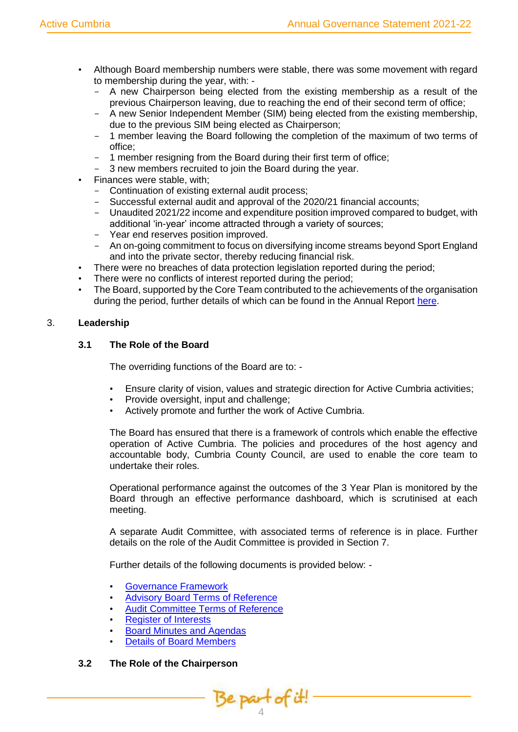- Although Board membership numbers were stable, there was some movement with regard to membership during the year, with: -
	- A new Chairperson being elected from the existing membership as a result of the previous Chairperson leaving, due to reaching the end of their second term of office;
	- A new Senior Independent Member (SIM) being elected from the existing membership, due to the previous SIM being elected as Chairperson;
	- 1 member leaving the Board following the completion of the maximum of two terms of office;
	- 1 member resigning from the Board during their first term of office;
	- 3 new members recruited to join the Board during the year.
- Finances were stable, with;
	- Continuation of existing external audit process;
	- Successful external audit and approval of the 2020/21 financial accounts;
	- Unaudited 2021/22 income and expenditure position improved compared to budget, with additional 'in-year' income attracted through a variety of sources;
	- Year end reserves position improved.
	- An on-going commitment to focus on diversifying income streams beyond Sport England and into the private sector, thereby reducing financial risk.
	- There were no breaches of data protection legislation reported during the period;
- There were no conflicts of interest reported during the period;
- The Board, supported by the Core Team contributed to the achievements of the organisation during the period, further details of which can be found in the Annual Report [here.](https://www.activecumbria.org/about-us/)

# 3. **Leadership**

# **3.1 The Role of the Board**

The overriding functions of the Board are to: -

- Ensure clarity of vision, values and strategic direction for Active Cumbria activities;
- Provide oversight, input and challenge;
- Actively promote and further the work of Active Cumbria.

The Board has ensured that there is a framework of controls which enable the effective operation of Active Cumbria. The policies and procedures of the host agency and accountable body, Cumbria County Council, are used to enable the core team to undertake their roles.

Operational performance against the outcomes of the 3 Year Plan is monitored by the Board through an effective performance dashboard, which is scrutinised at each meeting.

A separate Audit Committee, with associated terms of reference is in place. Further details on the role of the Audit Committee is provided in Section 7.

Further details of the following documents is provided below: -

- [Governance Framework](https://www.activecumbria.org/files/2216/4864/7118/AC_Management_System_-_ACMS-ORG-001.xlsx)
- [Advisory Board Terms of Reference](https://www.activecumbria.org/files/4816/4864/7153/Terms_of_Reference_v10_-_ACMS-CON-002.docx)
- [Audit Committee Terms of Reference](https://www.activecumbria.org/files/1116/4864/7184/Terms_of_Reference_v3_-_ACMS-CON-003.docx)
- [Register of Interests](https://www.activecumbria.org/files/9716/4871/5142/Declarations_of_Interest_-_Summary.xlsx)
- **[Board Minutes and Agendas](https://www.activecumbria.org/about-us/advisory-board-agenda-minutes/)**
- [Details of Board Members](https://www.activecumbria.org/about-us/advisoryboard/)

#### **3.2 The Role of the Chairperson**

Be part of it!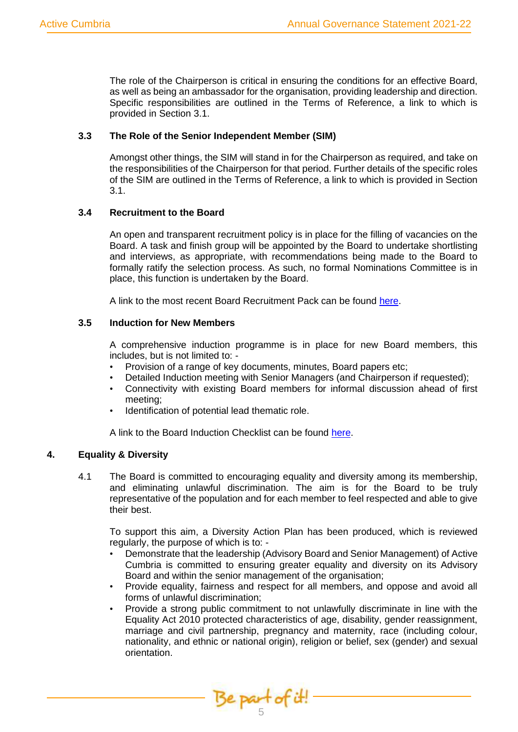The role of the Chairperson is critical in ensuring the conditions for an effective Board, as well as being an ambassador for the organisation, providing leadership and direction. Specific responsibilities are outlined in the Terms of Reference, a link to which is provided in Section 3.1.

# **3.3 The Role of the Senior Independent Member (SIM)**

Amongst other things, the SIM will stand in for the Chairperson as required, and take on the responsibilities of the Chairperson for that period. Further details of the specific roles of the SIM are outlined in the Terms of Reference, a link to which is provided in Section 3.1.

# **3.4 Recruitment to the Board**

An open and transparent recruitment policy is in place for the filling of vacancies on the Board. A task and finish group will be appointed by the Board to undertake shortlisting and interviews, as appropriate, with recommendations being made to the Board to formally ratify the selection process. As such, no formal Nominations Committee is in place, this function is undertaken by the Board.

A link to the most recent Board Recruitment Pack can be found [here.](https://www.activecumbria.org/files/6016/4864/8376/Advisory_Board_Recruitment_Pack_Jan_22.docx)

# **3.5 Induction for New Members**

A comprehensive induction programme is in place for new Board members, this includes, but is not limited to: -

- Provision of a range of key documents, minutes, Board papers etc;
- Detailed Induction meeting with Senior Managers (and Chairperson if requested);
- Connectivity with existing Board members for informal discussion ahead of first meeting;
- Identification of potential lead thematic role.

A link to the Board Induction Checklist can be found [here.](https://www.activecumbria.org/files/9516/1728/8321/Induction_Checklist_-_ACMS-PRP-001.docx)

# **4. Equality & Diversity**

4.1 The Board is committed to encouraging equality and diversity among its membership, and eliminating unlawful discrimination. The aim is for the Board to be truly representative of the population and for each member to feel respected and able to give their best.

To support this aim, a Diversity Action Plan has been produced, which is reviewed regularly, the purpose of which is to: -

- Demonstrate that the leadership (Advisory Board and Senior Management) of Active Cumbria is committed to ensuring greater equality and diversity on its Advisory Board and within the senior management of the organisation;
- Provide equality, fairness and respect for all members, and oppose and avoid all forms of unlawful discrimination;
- Provide a strong public commitment to not unlawfully discriminate in line with the Equality Act 2010 protected characteristics of age, disability, gender reassignment, marriage and civil partnership, pregnancy and maternity, race (including colour, nationality, and ethnic or national origin), religion or belief, sex (gender) and sexual orientation.

Be part of it!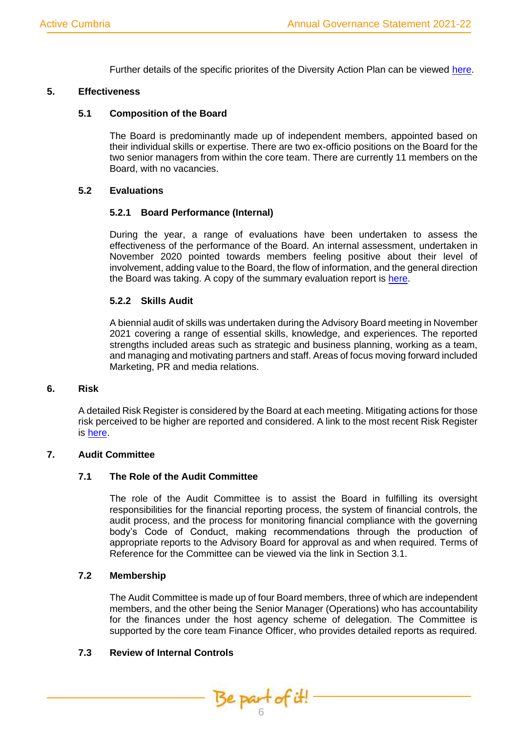Further details of the specific priorites of the Diversity Action Plan can be viewed [here.](https://www.activecumbria.org/files/1616/4864/9211/AC_Diversity_Action_Plan_-_ACMS-DOC-008.docx)

#### **5. Effectiveness**

#### **5.1 Composition of the Board**

The Board is predominantly made up of independent members, appointed based on their individual skills or expertise. There are two ex-officio positions on the Board for the two senior managers from within the core team. There are currently 11 members on the Board, with no vacancies.

#### **5.2 Evaluations**

#### **5.2.1 Board Performance (Internal)**

During the year, a range of evaluations have been undertaken to assess the effectiveness of the performance of the Board. An internal assessment, undertaken in November 2020 pointed towards members feeling positive about their level of involvement, adding value to the Board, the flow of information, and the general direction the Board was taking. A copy of the summary evaluation report is [here.](https://www.activecumbria.org/files/3216/1728/8401/Advisory_Board_Performance_Evaluation_Questionnaire_-_MASTER.docx)

#### **5.2.2 Skills Audit**

A biennial audit of skills was undertaken during the Advisory Board meeting in November 2021 covering a range of essential skills, knowledge, and experiences. The reported strengths included areas such as strategic and business planning, working as a team, and managing and motivating partners and staff. Areas of focus moving forward included Marketing, PR and media relations.

#### **6. Risk**

A detailed Risk Register is considered by the Board at each meeting. Mitigating actions for those risk perceived to be higher are reported and considered. A link to the most recent Risk Register is [here.](https://www.activecumbria.org/files/2716/4864/9339/Risk_Register_-_ACMS-DOC-006_-_NEW_VERSION.doc)

#### **7. Audit Committee**

#### **7.1 The Role of the Audit Committee**

The role of the Audit Committee is to assist the Board in fulfilling its oversight responsibilities for the financial reporting process, the system of financial controls, the audit process, and the process for monitoring financial compliance with the governing body's Code of Conduct, making recommendations through the production of appropriate reports to the Advisory Board for approval as and when required. Terms of Reference for the Committee can be viewed via the link in Section 3.1.

#### **7.2 Membership**

The Audit Committee is made up of four Board members, three of which are independent members, and the other being the Senior Manager (Operations) who has accountability for the finances under the host agency scheme of delegation. The Committee is supported by the core team Finance Officer, who provides detailed reports as required.

#### **7.3 Review of Internal Controls**

Be part of it!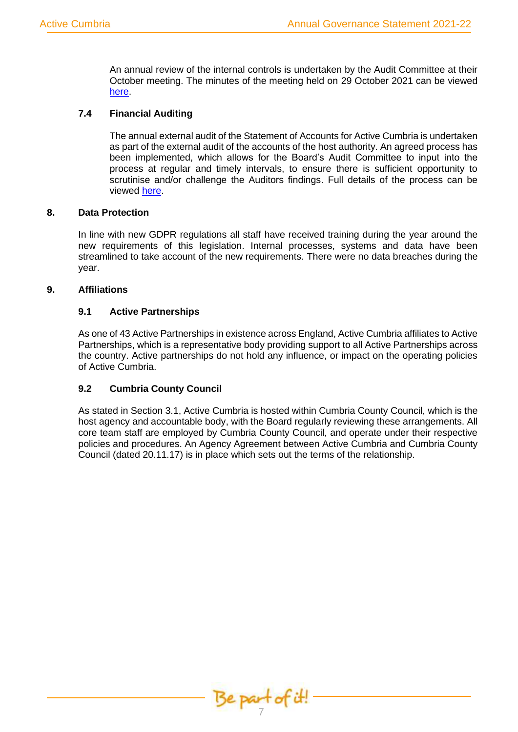An annual review of the internal controls is undertaken by the Audit Committee at their October meeting. The minutes of the meeting held on 29 October 2021 can be viewed [here.](https://www.activecumbria.org/files/7016/4864/9383/20211029_Audit_Committee_Meeting_Minutes.docx)

# **7.4 Financial Auditing**

The annual external audit of the Statement of Accounts for Active Cumbria is undertaken as part of the external audit of the accounts of the host authority. An agreed process has been implemented, which allows for the Board's Audit Committee to input into the process at regular and timely intervals, to ensure there is sufficient opportunity to scrutinise and/or challenge the Auditors findings. Full details of the process can be viewed [here.](https://www.activecumbria.org/files/8616/1728/8606/Annual_Audit_Process__Timeline.docx)

# **8. Data Protection**

In line with new GDPR regulations all staff have received training during the year around the new requirements of this legislation. Internal processes, systems and data have been streamlined to take account of the new requirements. There were no data breaches during the year.

# **9. Affiliations**

# **9.1 Active Partnerships**

As one of 43 Active Partnerships in existence across England, Active Cumbria affiliates to Active Partnerships, which is a representative body providing support to all Active Partnerships across the country. Active partnerships do not hold any influence, or impact on the operating policies of Active Cumbria.

# **9.2 Cumbria County Council**

As stated in Section 3.1, Active Cumbria is hosted within Cumbria County Council, which is the host agency and accountable body, with the Board regularly reviewing these arrangements. All core team staff are employed by Cumbria County Council, and operate under their respective policies and procedures. An Agency Agreement between Active Cumbria and Cumbria County Council (dated 20.11.17) is in place which sets out the terms of the relationship.